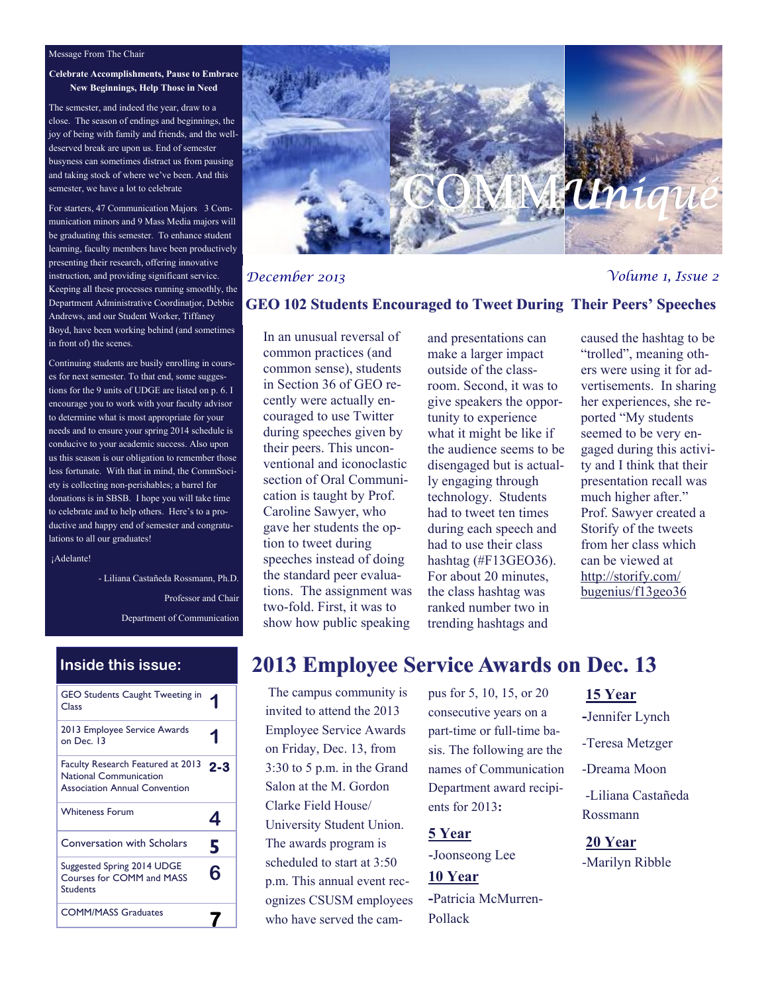#### Message From The Chair

**Celebrate Accomplishments, Pause to Embrace New Beginnings, Help Those in Need**

The semester, and indeed the year, draw to a close. The season of endings and beginnings, the joy of being with family and friends, and the welldeserved break are upon us. End of semester busyness can sometimes distract us from pausing and taking stock of where we've been. And this semester, we have a lot to celebrate

For starters, 47 Communication Majors 3 Communication minors and 9 Mass Media majors will be graduating this semester. To enhance student learning, faculty members have been productively presenting their research, offering innovative instruction, and providing significant service. Keeping all these processes running smoothly, the Department Administrative Coordinatjor, Debbie Andrews, and our Student Worker, Tiffaney Boyd, have been working behind (and sometimes in front of) the scenes.

Continuing students are busily enrolling in courses for next semester. To that end, some suggestions for the 9 units of UDGE are listed on p. 6. I encourage you to work with your faculty advisor to determine what is most appropriate for your needs and to ensure your spring 2014 schedule is conducive to your academic success. Also upon us this season is our obligation to remember those less fortunate. With that in mind, the CommSociety is collecting non-perishables; a barrel for donations is in SBSB. I hope you will take time to celebrate and to help others. Here's to a productive and happy end of semester and congratulations to all our graduates!

¡Adelante!

- Liliana Castañeda Rossmann, Ph.D. Professor and Chair Department of Communication

| <b>Inside this issue:</b>                                                                                  |     |
|------------------------------------------------------------------------------------------------------------|-----|
| <b>GEO Students Caught Tweeting in</b><br>Class                                                            |     |
| 2013 Employee Service Awards<br>on Dec. 13                                                                 |     |
| Faculty Research Featured at 2013<br><b>National Communication</b><br><b>Association Annual Convention</b> | 2-3 |
| <b>Whiteness Forum</b>                                                                                     |     |
| <b>Conversation with Scholars</b>                                                                          | 5   |
| Suggested Spring 2014 UDGE<br><b>Courses for COMM and MASS</b><br><b>Students</b>                          | 6   |
| <b>COMM/MASS Graduates</b>                                                                                 |     |



#### *December 2013 Volume 1, Issue 2*

#### **GEO 102 Students Encouraged to Tweet During Their Peers' Speeches**

In an unusual reversal of common practices (and common sense), students in Section 36 of GEO recently were actually encouraged to use Twitter during speeches given by their peers. This unconventional and iconoclastic section of Oral Communication is taught by Prof. Caroline Sawyer, who gave her students the option to tweet during speeches instead of doing the standard peer evaluations. The assignment was two-fold. First, it was to show how public speaking

and presentations can make a larger impact outside of the classroom. Second, it was to give speakers the opportunity to experience what it might be like if the audience seems to be disengaged but is actually engaging through technology. Students had to tweet ten times during each speech and had to use their class hashtag (#F13GEO36). For about 20 minutes, the class hashtag was ranked number two in trending hashtags and

caused the hashtag to be "trolled", meaning others were using it for advertisements. In sharing her experiences, she reported "My students seemed to be very engaged during this activity and I think that their presentation recall was much higher after." Prof. Sawyer created a Storify of the tweets from her class which can be viewed at [http://storify.com/](http://storify.com/bugenius/f13geo36) [bugenius/f13geo36](http://storify.com/bugenius/f13geo36)

## **2013 Employee Service Awards on Dec. 13**

The campus community is invited to attend the 2013 Employee Service Awards on Friday, Dec. 13, from 3:30 to 5 p.m. in the Grand Salon at the M. Gordon Clarke Field House/ University Student Union. The awards program is scheduled to start at 3:50 p.m. This annual event recognizes CSUSM employees who have served the campus for 5, 10, 15, or 20 consecutive years on a part-time or full-time basis. The following are the names of Communication Department award recipients for 2013**:** 

**5 Year**  -Joonseong Lee

**10 Year -**Patricia McMurren-Pollack

#### **15 Year**

**-**Jennifer Lynch

- -Teresa Metzger
- -Dreama Moon
- -Liliana Castañeda Rossmann

**20 Year** -Marilyn Ribble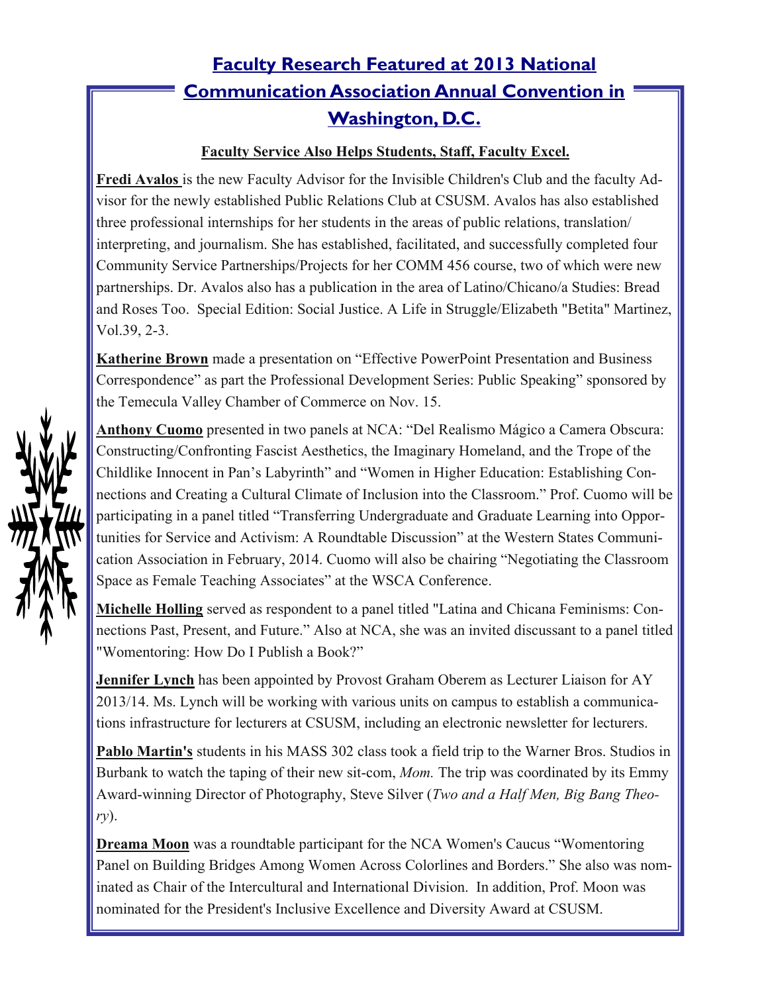# **Faculty Research Featured at 2013 National Communication Association Annual Convention in Washington, D.C.**

### **Faculty Service Also Helps Students, Staff, Faculty Excel.**

**Fredi Avalos** is the new Faculty Advisor for the Invisible Children's Club and the faculty Advisor for the newly established Public Relations Club at CSUSM. Avalos has also established three professional internships for her students in the areas of public relations, translation/ interpreting, and journalism. She has established, facilitated, and successfully completed four Community Service Partnerships/Projects for her COMM 456 course, two of which were new partnerships. Dr. Avalos also has a publication in the area of Latino/Chicano/a Studies: Bread and Roses Too. Special Edition: Social Justice. A Life in Struggle/Elizabeth "Betita" Martinez, Vol.39, 2-3.

**Katherine Brown** made a presentation on "Effective PowerPoint Presentation and Business Correspondence" as part the Professional Development Series: Public Speaking" sponsored by the Temecula Valley Chamber of Commerce on Nov. 15.

**Anthony Cuomo** presented in two panels at NCA: "Del Realismo Mágico a Camera Obscura: Constructing/Confronting Fascist Aesthetics, the Imaginary Homeland, and the Trope of the Childlike Innocent in Pan's Labyrinth" and "Women in Higher Education: Establishing Connections and Creating a Cultural Climate of Inclusion into the Classroom." Prof. Cuomo will be participating in a panel titled "Transferring Undergraduate and Graduate Learning into Opportunities for Service and Activism: A Roundtable Discussion" at the Western States Communication Association in February, 2014. Cuomo will also be chairing "Negotiating the Classroom Space as Female Teaching Associates" at the WSCA Conference.

**Michelle Holling** served as respondent to a panel titled "Latina and Chicana Feminisms: Connections Past, Present, and Future." Also at NCA, she was an invited discussant to a panel titled "Womentoring: How Do I Publish a Book?"

**Jennifer Lynch** has been appointed by Provost Graham Oberem as Lecturer Liaison for AY 2013/14. Ms. Lynch will be working with various units on campus to establish a communications infrastructure for lecturers at CSUSM, including an electronic newsletter for lecturers.

**Pablo Martin's** students in his MASS 302 class took a field trip to the Warner Bros. Studios in Burbank to watch the taping of their new sit-com, *Mom.* The trip was coordinated by its Emmy Award-winning Director of Photography, Steve Silver (*Two and a Half Men, Big Bang Theory*).

**Dreama Moon** was a roundtable participant for the NCA Women's Caucus "Womentoring" Panel on Building Bridges Among Women Across Colorlines and Borders." She also was nominated as Chair of the Intercultural and International Division. In addition, Prof. Moon was nominated for the President's Inclusive Excellence and Diversity Award at CSUSM.

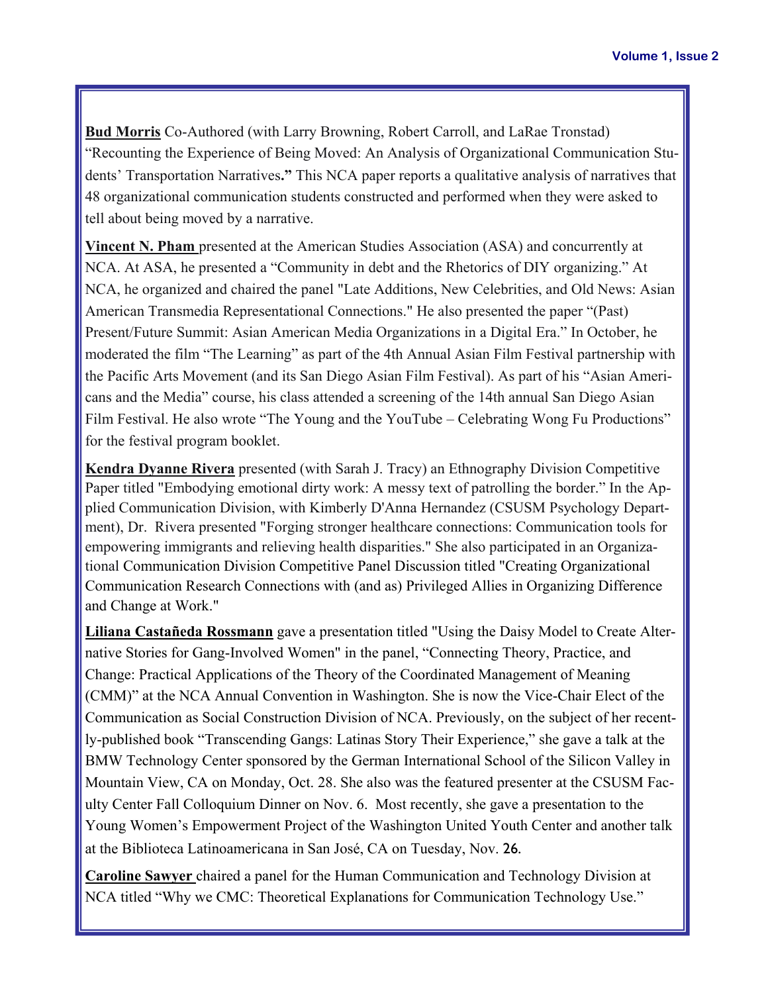**Bud Morris** Co-Authored (with Larry Browning, Robert Carroll, and LaRae Tronstad) "Recounting the Experience of Being Moved: An Analysis of Organizational Communication Students' Transportation Narratives**."** This NCA paper reports a qualitative analysis of narratives that 48 organizational communication students constructed and performed when they were asked to tell about being moved by a narrative.

**Vincent N. Pham** presented at the American Studies Association (ASA) and concurrently at NCA. At ASA, he presented a "Community in debt and the Rhetorics of DIY organizing." At NCA, he organized and chaired the panel "Late Additions, New Celebrities, and Old News: Asian American Transmedia Representational Connections." He also presented the paper "(Past) Present/Future Summit: Asian American Media Organizations in a Digital Era." In October, he moderated the film "The Learning" as part of the 4th Annual Asian Film Festival partnership with the Pacific Arts Movement (and its San Diego Asian Film Festival). As part of his "Asian Americans and the Media" course, his class attended a screening of the 14th annual San Diego Asian Film Festival. He also wrote "The Young and the YouTube – Celebrating Wong Fu Productions" for the festival program booklet.

**Kendra Dyanne Rivera** presented (with Sarah J. Tracy) an Ethnography Division Competitive Paper titled "Embodying emotional dirty work: A messy text of patrolling the border." In the Applied Communication Division, with Kimberly D'Anna Hernandez (CSUSM Psychology Department), Dr. Rivera presented "Forging stronger healthcare connections: Communication tools for empowering immigrants and relieving health disparities." She also participated in an Organizational Communication Division Competitive Panel Discussion titled "Creating Organizational Communication Research Connections with (and as) Privileged Allies in Organizing Difference and Change at Work."

**Liliana Castañeda Rossmann** gave a presentation titled "Using the Daisy Model to Create Alternative Stories for Gang-Involved Women" in the panel, "Connecting Theory, Practice, and Change: Practical Applications of the Theory of the Coordinated Management of Meaning (CMM)" at the NCA Annual Convention in Washington. She is now the Vice-Chair Elect of the Communication as Social Construction Division of NCA. Previously, on the subject of her recently-published book "Transcending Gangs: Latinas Story Their Experience," she gave a talk at the BMW Technology Center sponsored by the German International School of the Silicon Valley in Mountain View, CA on Monday, Oct. 28. She also was the featured presenter at the CSUSM Faculty Center Fall Colloquium Dinner on Nov. 6. Most recently, she gave a presentation to the Young Women's Empowerment Project of the Washington United Youth Center and another talk at the Biblioteca Latinoamericana in San José, CA on Tuesday, Nov. 26.

**Caroline Sawyer** chaired a panel for the Human Communication and Technology Division at NCA titled "Why we CMC: Theoretical Explanations for Communication Technology Use."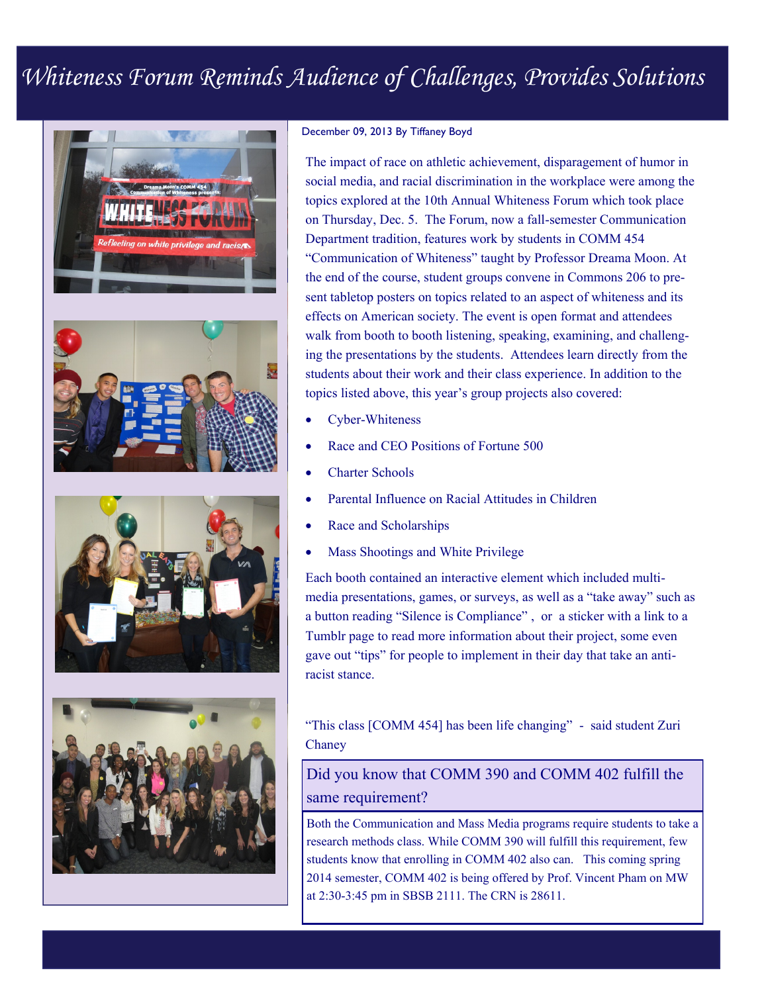# *Whiteness Forum Reminds Audience of Challenges, Provides Solutions*









#### December 09, 2013 By Tiffaney Boyd

The impact of race on athletic achievement, disparagement of humor in social media, and racial discrimination in the workplace were among the topics explored at the 10th Annual Whiteness Forum which took place on Thursday, Dec. 5. The Forum, now a fall-semester Communication Department tradition, features work by students in COMM 454 "Communication of Whiteness" taught by Professor Dreama Moon. At the end of the course, student groups convene in Commons 206 to present tabletop posters on topics related to an aspect of whiteness and its effects on American society. The event is open format and attendees walk from booth to booth listening, speaking, examining, and challenging the presentations by the students. Attendees learn directly from the students about their work and their class experience. In addition to the topics listed above, this year's group projects also covered:

- Cyber-Whiteness
- Race and CEO Positions of Fortune 500
- Charter Schools
- Parental Influence on Racial Attitudes in Children
- Race and Scholarships
- Mass Shootings and White Privilege

Each booth contained an interactive element which included multimedia presentations, games, or surveys, as well as a "take away" such as a button reading "Silence is Compliance" , or a sticker with a link to a Tumblr page to read more information about their project, some even gave out "tips" for people to implement in their day that take an antiracist stance.

"This class [COMM 454] has been life changing" - said student Zuri Chaney

### Did you know that COMM 390 and COMM 402 fulfill the same requirement?

Both the Communication and Mass Media programs require students to take a research methods class. While COMM 390 will fulfill this requirement, few students know that enrolling in COMM 402 also can. This coming spring 2014 semester, COMM 402 is being offered by Prof. Vincent Pham on MW at 2:30-3:45 pm in SBSB 2111. The CRN is 28611.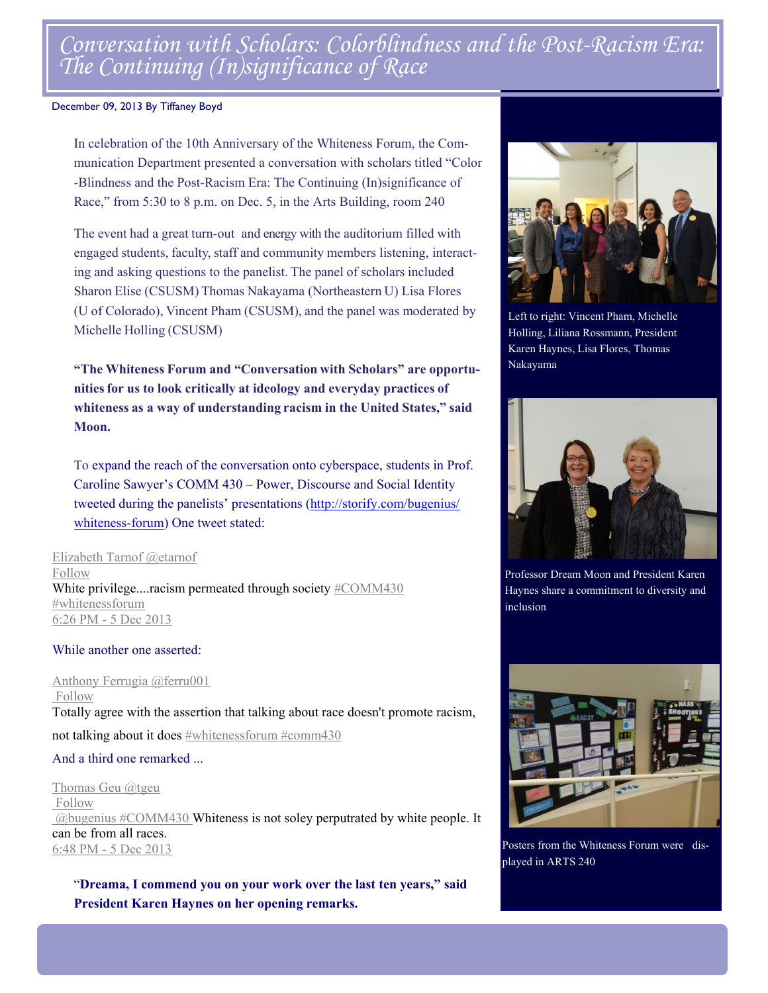# *Conversation with Scholars: Colorblindness and the Post-Racism Era: The Continuing (In)significance of Race*

#### December 09, 2013 By Tiffaney Boyd

In celebration of the 10th Anniversary of the Whiteness Forum, the Communication Department presented a conversation with scholars titled "Color -Blindness and the Post-Racism Era: The Continuing (In)significance of Race," from 5:30 to 8 p.m. on Dec. 5, in the Arts Building, room 240

The event had a great turn-out and energy with the auditorium filled with engaged students, faculty, staff and community members listening, interacting and asking questions to the panelist. The panel of scholars included Sharon Elise (CSUSM) Thomas Nakayama (Northeastern U) Lisa Flores (U of Colorado), Vincent Pham (CSUSM), and the panel was moderated by Michelle Holling (CSUSM)

**"The Whiteness Forum and "Conversation with Scholars" are opportunitiesfor us to look critically at ideology and everyday practices of whiteness as a way of understanding racism in the United States," said Moon.**

To expand the reach of the conversation onto cyberspace, students in Prof. Caroline Sawyer's COMM 430 – Power, Discourse and Social Identity tweeted during the panelists' presentations ([http://storify.com/bugenius/](http://storify.com/bugenius/whiteness-forum) [whiteness](http://storify.com/bugenius/whiteness-forum)-forum) One tweet stated:

Elizabeth Tarnof @etarnof Follow White privilege....racism permeated through society #COMM430 #whitenessforum 6:26 PM - 5 Dec 2013

#### While another one asserted:

Anthony Ferrugia @ferru001 Follow Totally agree with the assertion that talking about race doesn't promote racism, not talking about it does #whitenessforum #comm430

### And a third one remarked ...

Thomas Geu @tgeu Follow  $\omega$ bugenius #COMM430 Whiteness is not soley perputrated by white people. It can be from all races. 6:48 PM - 5 Dec 2013

"**Dreama, I commend you on your work over the last ten years," said President Karen Haynes on her opening remarks.** 



Left to right: Vincent Pham, Michelle Holling, Liliana Rossmann, President Karen Haynes, Lisa Flores, Thomas Nakayama



Professor Dream Moon and President Karen Haynes share a commitment to diversity and inclusion



Posters from the Whiteness Forum were displayed in ARTS 240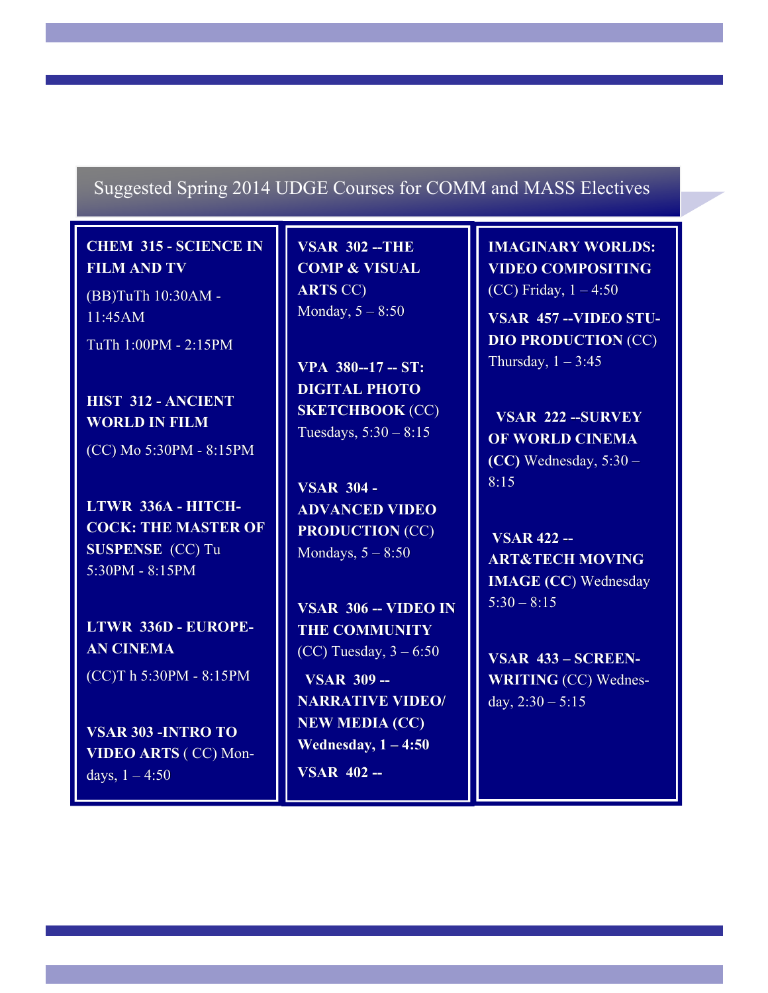### Suggested Spring 2014 UDGE Courses for COMM and MASS Electives

**CHEM 315 - SCIENCE IN FILM AND TV** 

(BB)TuTh 10:30AM - 11:45AM TuTh 1:00PM - 2:15PM

**HIST 312 - ANCIENT WORLD IN FILM** 

(CC) Mo 5:30PM - 8:15PM

**LTWR 336A - HITCH-COCK: THE MASTER OF SUSPENSE** (CC) Tu 5:30PM - 8:15PM

**LTWR 336D - EUROPE-AN CINEMA**  (CC)T h 5:30PM - 8:15PM

**VSAR 303 -INTRO TO VIDEO ARTS** ( CC) Mondays,  $1 - 4:50$ 

**VSAR 302 --THE COMP & VISUAL ARTS** CC) Monday,  $5 - 8:50$ 

**VPA 380--17 -- ST: DIGITAL PHOTO SKETCHBOOK** (CC) Tuesdays, 5:30 – 8:15

**VSAR 304 - ADVANCED VIDEO PRODUCTION** (CC) Mondays,  $5 - 8:50$ 

**VSAR 306 -- VIDEO IN THE COMMUNITY**  (CC) Tuesday,  $3 - 6:50$  **VSAR 309 -- NARRATIVE VIDEO/ NEW MEDIA (CC) Wednesday, 1 – 4:50** 

**VSAR 402 --**

**IMAGINARY WORLDS: VIDEO COMPOSITING**  (CC) Friday, 1 – 4:50

**VSAR 457 --VIDEO STU-DIO PRODUCTION** (CC) Thursday,  $1 - 3:45$ 

 **VSAR 222 --SURVEY OF WORLD CINEMA (CC)** Wednesday, 5:30 – 8:15

**VSAR 422 -- ART&TECH MOVING IMAGE (CC**) Wednesday  $5:30 - 8:15$ 

**VSAR 433 – SCREEN-WRITING** (CC) Wednesday,  $2:30 - 5:15$